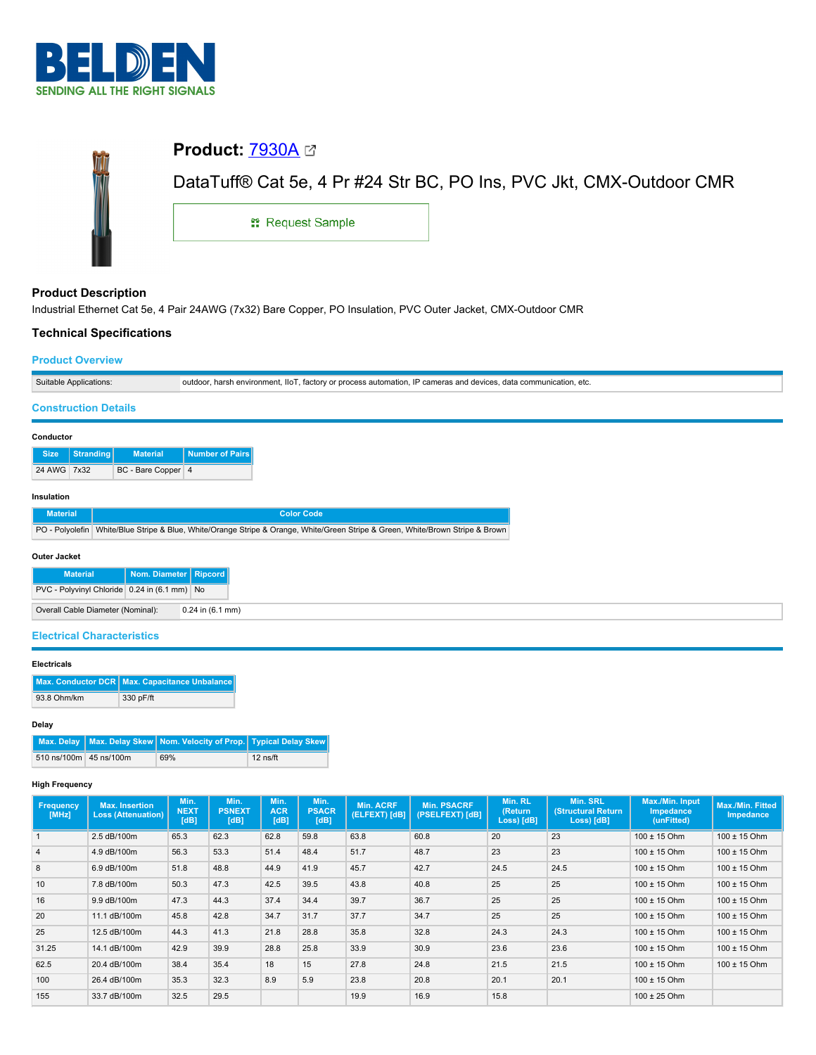

| <b>Product: 7930A ⊠</b> |                                                                     |
|-------------------------|---------------------------------------------------------------------|
|                         | DataTuff® Cat 5e, 4 Pr #24 Str BC, PO Ins, PVC Jkt, CMX-Outdoor CMR |
| <b>: Request Sample</b> |                                                                     |

# **Product Description**

Industrial Ethernet Cat 5e, 4 Pair 24AWG (7x32) Bare Copper, PO Insulation, PVC Outer Jacket, CMX-Outdoor CMR

# **Technical Specifications**

## **Product Overview**

| tions | etc.<br>cation<br>hars<br>. dat<br>outdoo<br><br>.002<br>™nr process au…<br>environment.<br>110 I<br>automation.<br>--- -<br>CIOLV<br>i gevice:<br>Cal<br>alian i<br>$\sim$ |
|-------|-----------------------------------------------------------------------------------------------------------------------------------------------------------------------------|

## **Construction Details**

| Conductor   |           |                    |                 |  |  |
|-------------|-----------|--------------------|-----------------|--|--|
| <b>Size</b> | Stranding | <b>Material</b>    | Number of Pairs |  |  |
| 24 AWG 7x32 |           | BC - Bare Copper 4 |                 |  |  |

# **Insulation**

| <b>Material</b> | <b>Color Code</b>                                                                                                              |
|-----------------|--------------------------------------------------------------------------------------------------------------------------------|
|                 | PO - Polyolefin White/Blue Stripe & Blue, White/Orange Stripe & Orange, White/Green Stripe & Green, White/Brown Stripe & Brown |

## **Outer Jacket**

| <b>Material</b>                                           | Nom. Diameter   Ripcord |  |  |  |  |
|-----------------------------------------------------------|-------------------------|--|--|--|--|
| PVC - Polyvinyl Chloride 0.24 in (6.1 mm) No              |                         |  |  |  |  |
| $0.24$ in $(6.1$ mm)<br>Overall Cable Diameter (Nominal): |                         |  |  |  |  |

# **Electrical Characteristics**

### **Electricals**

|             | Max. Conductor DCR   Max. Capacitance Unbalance |
|-------------|-------------------------------------------------|
| 93.8 Ohm/km | 330 pF/ft                                       |

## **Delay**

|                        | Max. Delay   Max. Delay Skew   Nom. Velocity of Prop.   Typical Delay Skew |            |
|------------------------|----------------------------------------------------------------------------|------------|
| 510 ns/100m 45 ns/100m | 69%                                                                        | $12$ ns/ft |

## **High Frequency**

| Frequency<br>[MHz] | <b>Max. Insertion</b><br><b>Loss (Attenuation)</b> | Min.<br><b>NEXT</b><br>[dB] | Min.<br><b>PSNEXT</b><br>[dB] | Min.<br><b>ACR</b><br>[dB] | Min.<br><b>PSACR</b><br>[dB] | <b>Min. ACRF</b><br>(ELFEXT) [dB] | <b>Min. PSACRF</b><br>(PSELFEXT) [dB] | Min. RL<br>(Return<br>Loss) [dB] | Min. SRL<br><b>(Structural Return)</b><br>Loss) [dB] | Max./Min. Input<br><b>Impedance</b><br>(unFitted) | <b>Max./Min. Fitted</b><br><b>Impedance</b> |
|--------------------|----------------------------------------------------|-----------------------------|-------------------------------|----------------------------|------------------------------|-----------------------------------|---------------------------------------|----------------------------------|------------------------------------------------------|---------------------------------------------------|---------------------------------------------|
|                    | 2.5 dB/100m                                        | 65.3                        | 62.3                          | 62.8                       | 59.8                         | 63.8                              | 60.8                                  | 20                               | 23                                                   | $100 \pm 15$ Ohm                                  | 100 ± 15 Ohm                                |
| $\overline{4}$     | 4.9 dB/100m                                        | 56.3                        | 53.3                          | 51.4                       | 48.4                         | 51.7                              | 48.7                                  | 23                               | 23                                                   | $100 \pm 15$ Ohm                                  | $100 \pm 15$ Ohm                            |
| 8                  | 6.9 dB/100m                                        | 51.8                        | 48.8                          | 44.9                       | 41.9                         | 45.7                              | 42.7                                  | 24.5                             | 24.5                                                 | $100 \pm 15$ Ohm                                  | $100 \pm 15$ Ohm                            |
| 10                 | 7.8 dB/100m                                        | 50.3                        | 47.3                          | 42.5                       | 39.5                         | 43.8                              | 40.8                                  | 25                               | 25                                                   | $100 \pm 15$ Ohm                                  | $100 \pm 15$ Ohm                            |
| 16                 | 9.9 dB/100m                                        | 47.3                        | 44.3                          | 37.4                       | 34.4                         | 39.7                              | 36.7                                  | 25                               | 25                                                   | $100 \pm 15$ Ohm                                  | $100 \pm 15$ Ohm                            |
| 20                 | 11.1 dB/100m                                       | 45.8                        | 42.8                          | 34.7                       | 31.7                         | 37.7                              | 34.7                                  | 25                               | 25                                                   | $100 \pm 15$ Ohm                                  | $100 \pm 15$ Ohm                            |
| 25                 | 12.5 dB/100m                                       | 44.3                        | 41.3                          | 21.8                       | 28.8                         | 35.8                              | 32.8                                  | 24.3                             | 24.3                                                 | $100 \pm 15$ Ohm                                  | 100 ± 15 Ohm                                |
| 31.25              | 14.1 dB/100m                                       | 42.9                        | 39.9                          | 28.8                       | 25.8                         | 33.9                              | 30.9                                  | 23.6                             | 23.6                                                 | $100 \pm 15$ Ohm                                  | $100 \pm 15$ Ohm                            |
| 62.5               | 20.4 dB/100m                                       | 38.4                        | 35.4                          | 18                         | 15                           | 27.8                              | 24.8                                  | 21.5                             | 21.5                                                 | $100 \pm 15$ Ohm                                  | $100 \pm 15$ Ohm                            |
| 100                | 26.4 dB/100m                                       | 35.3                        | 32.3                          | 8.9                        | 5.9                          | 23.8                              | 20.8                                  | 20.1                             | 20.1                                                 | $100 \pm 15$ Ohm                                  |                                             |
| 155                | 33.7 dB/100m                                       | 32.5                        | 29.5                          |                            |                              | 19.9                              | 16.9                                  | 15.8                             |                                                      | $100 \pm 25$ Ohm                                  |                                             |